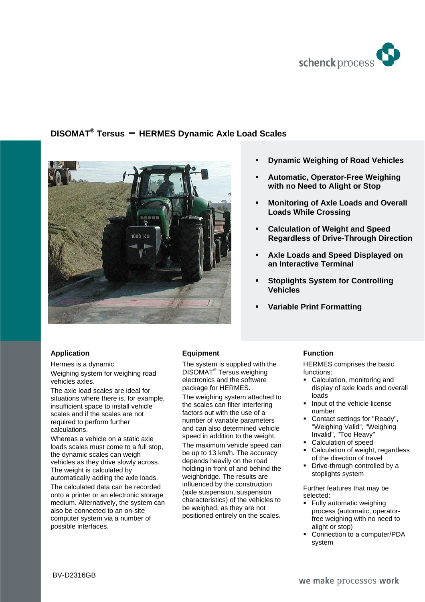

# **DISOMAT® Tersus – HERMES Dynamic Axle Load Scales**



**Application** 

Hermes is a dynamic Weighing system for weighing road vehicles axles.

The axle load scales are ideal for situations where there is, for example, insufficient space to install vehicle scales and if the scales are not required to perform further calculations.

Whereas a vehicle on a static axle loads scales must come to a full stop, the dynamic scales can weigh vehicles as they drive slowly across. The weight is calculated by automatically adding the axle loads. The calculated data can be recorded onto a printer or an electronic storage medium. Alternatively, the system can also be connected to an on-site computer system via a number of possible interfaces.

## **Equipment**

The system is supplied with the DISOMAT® Tersus weighing electronics and the software package for HERMES. The weighing system attached to

the scales can filter interfering factors out with the use of a number of variable parameters and can also determined vehicle speed in addition to the weight. The maximum vehicle speed can be up to 13 km/h. The accuracy depends heavily on the road holding in front of and behind the weighbridge. The results are influenced by the construction (axle suspension, suspension characteristics) of the vehicles to be weighed, as they are not positioned entirely on the scales.

- **Dynamic Weighing of Road Vehicles**
- **Automatic, Operator-Free Weighing with no Need to Alight or Stop**
- **Monitoring of Axle Loads and Overall Loads While Crossing**
- **Calculation of Weight and Speed Regardless of Drive-Through Direction**
- **Axle Loads and Speed Displayed on an Interactive Terminal**
- **Stoplights System for Controlling Vehicles**
- **Variable Print Formatting**

# **Function**

HERMES comprises the basic functions:

- Calculation, monitoring and display of axle loads and overall loads
- **Input of the vehicle license** number
- Contact settings for "Ready", "Weighing Valid", "Weighing Invalid", "Too Heavy"
- **Calculation of speed**
- Calculation of weight, regardless of the direction of travel
- Drive-through controlled by a stoplights system

Further features that may be selected:

- Fully automatic weighing process (automatic, operatorfree weighing with no need to alight or stop)
- Connection to a computer/PDA system